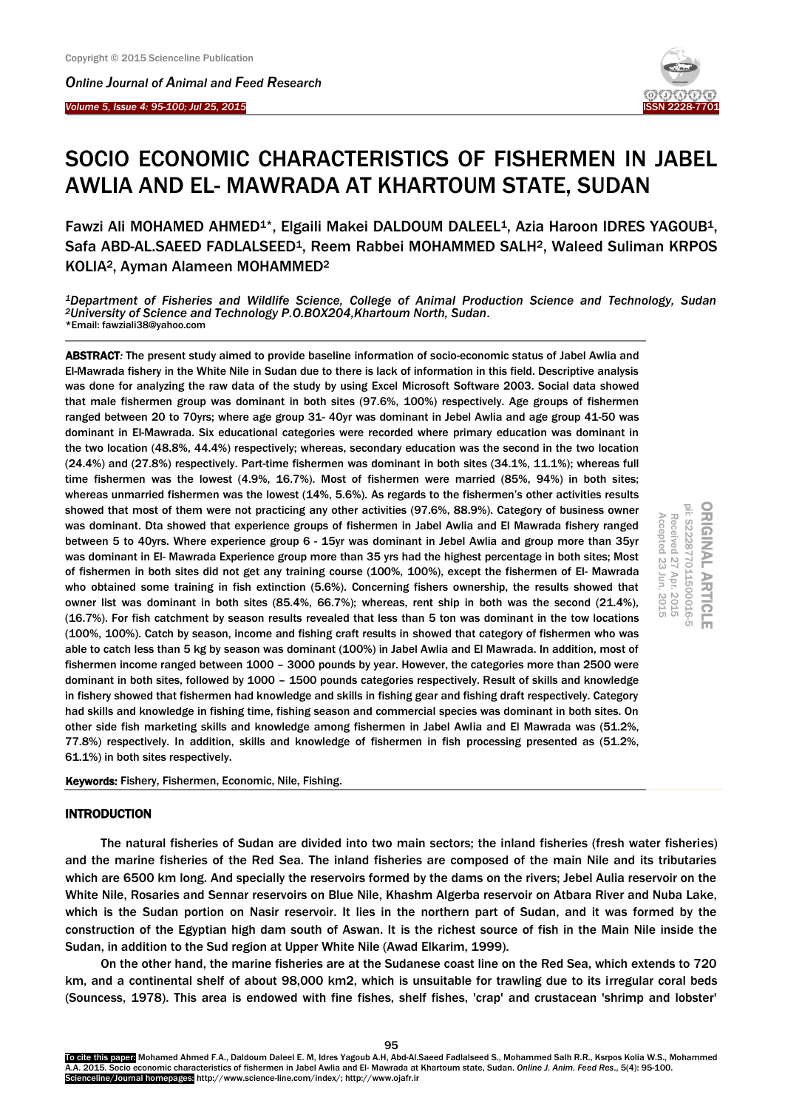I

*Online Journal of A[nimal and](http://www.ojafr.ir/main/) Feed Research Volume 5, Issue 4: 95-100; Jul 25, 2015* 



ORIGINAL ARTICLE<br>pii: S222877011500016-5

Received 27

Apr. 2015

Accepted 23 Jun. 2015

Received 27 Apr. 2015<br>Accepted 23 Jun. 2015

# SOCIO ECONOMIC CHARACTERISTICS OF FISHERMEN IN JABEL AWLIA AND EL- MAWRADA AT KHARTOUM STATE, SUDAN

Fawzi Ali MOHAMED AHMED<sup>1\*</sup>, Elgaili Makei DALDOUM DALEEL<sup>1</sup>, Azia Haroon IDRES YAGOUB<sup>1</sup>, Safa ABD-AL.SAEED FADLALSEED<sup>1</sup>, Reem Rabbei MOHAMMED SALH<sup>2</sup>, Waleed Suliman KRPOS KOLIA2, Ayman Alameen MOHAMMED<sup>2</sup>

*<sup>1</sup>Department of Fisheries and Wildlife Science, College of Animal Production Science and Technology, Sudan <sup>2</sup>University of Science and Technology P.O.BOX204,Khartoum North, Sudan.* \*Email: fawziali38@yahoo.com

ABSTRACT*:* The present study aimed to provide baseline information of socio-economic status of Jabel Awlia and El-Mawrada fishery in the White Nile in Sudan due to there is lack of information in this field. Descriptive analysis was done for analyzing the raw data of the study by using Excel Microsoft Software 2003. Social data showed that male fishermen group was dominant in both sites (97.6%, 100%) respectively. Age groups of fishermen ranged between 20 to 70yrs; where age group 31- 40yr was dominant in Jebel Awlia and age group 41-50 was dominant in El-Mawrada. Six educational categories were recorded where primary education was dominant in the two location (48.8%, 44.4%) respectively; whereas, secondary education was the second in the two location (24.4%) and (27.8%) respectively. Part-time fishermen was dominant in both sites (34.1%, 11.1%); whereas full time fishermen was the lowest (4.9%, 16.7%). Most of fishermen were married (85%, 94%) in both sites; whereas unmarried fishermen was the lowest (14%, 5.6%). As regards to the fishermen's other activities results showed that most of them were not practicing any other activities (97.6%, 88.9%). Category of business owner was dominant. Dta showed that experience groups of fishermen in Jabel Awlia and El Mawrada fishery ranged between 5 to 40yrs. Where experience group 6 - 15yr was dominant in Jebel Awlia and group more than 35yr was dominant in El- Mawrada Experience group more than 35 yrs had the highest percentage in both sites; Most of fishermen in both sites did not get any training course (100%, 100%), except the fishermen of El- Mawrada who obtained some training in fish extinction (5.6%). Concerning fishers ownership, the results showed that owner list was dominant in both sites (85.4%, 66.7%); whereas, rent ship in both was the second (21.4%), (16.7%). For fish catchment by season results revealed that less than 5 ton was dominant in the tow locations (100%, 100%). Catch by season, income and fishing craft results in showed that category of fishermen who was able to catch less than 5 kg by season was dominant (100%) in Jabel Awlia and El Mawrada. In addition, most of fishermen income ranged between 1000 – 3000 pounds by year. However, the categories more than 2500 were dominant in both sites, followed by 1000 – 1500 pounds categories respectively. Result of skills and knowledge in fishery showed that fishermen had knowledge and skills in fishing gear and fishing draft respectively. Category had skills and knowledge in fishing time, fishing season and commercial species was dominant in both sites. On other side fish marketing skills and knowledge among fishermen in Jabel Awlia and El Mawrada was (51.2%, 77.8%) respectively. In addition, skills and knowledge of fishermen in fish processing presented as (51.2%, 61.1%) in both sites respectively.

Keywords: Fishery, Fishermen, Economic, Nile, Fishing.

## **INTRODUCTION**

The natural fisheries of Sudan are divided into two main sectors; the inland fisheries (fresh water fisheries) and the marine fisheries of the Red Sea. The inland fisheries are composed of the main Nile and its tributaries which are 6500 km long. And specially the reservoirs formed by the dams on the rivers; Jebel Aulia reservoir on the White Nile, Rosaries and Sennar reservoirs on Blue Nile, Khashm Algerba reservoir on Atbara River and Nuba Lake, which is the Sudan portion on Nasir reservoir. It lies in the northern part of Sudan, and it was formed by the construction of the Egyptian high dam south of Aswan. It is the richest source of fish in the Main Nile inside the Sudan, in addition to the Sud region at Upper White Nile (Awad Elkarim, 1999).

On the other hand, the marine fisheries are at the Sudanese coast line on the Red Sea, which extends to 720 km, and a continental shelf of about 98,000 km2, which is unsuitable for trawling due to its irregular coral beds (Souncess, 1978). This area is endowed with fine fishes, shelf fishes, 'crap' and crustacean 'shrimp and lobster'

95 To cite this paper: Mohamed Ahmed F.A., Daldoum Daleel E. M, Idres Yagoub A.H, Abd-Al.Saeed Fadlalseed S., Mohammed Salh R.R., Ksrpos Kolia W.S., Mohammed A.A. 2015. Socio economic characteristics of fishermen in Jabel Awlia and El- Mawrada at Khartoum state, Sudan. *Online J. Anim. Feed Res*., 5(4): 95-100. Scienceline/Journal homepages: http://www.science-line.com/index/; http://www.ojafr.ir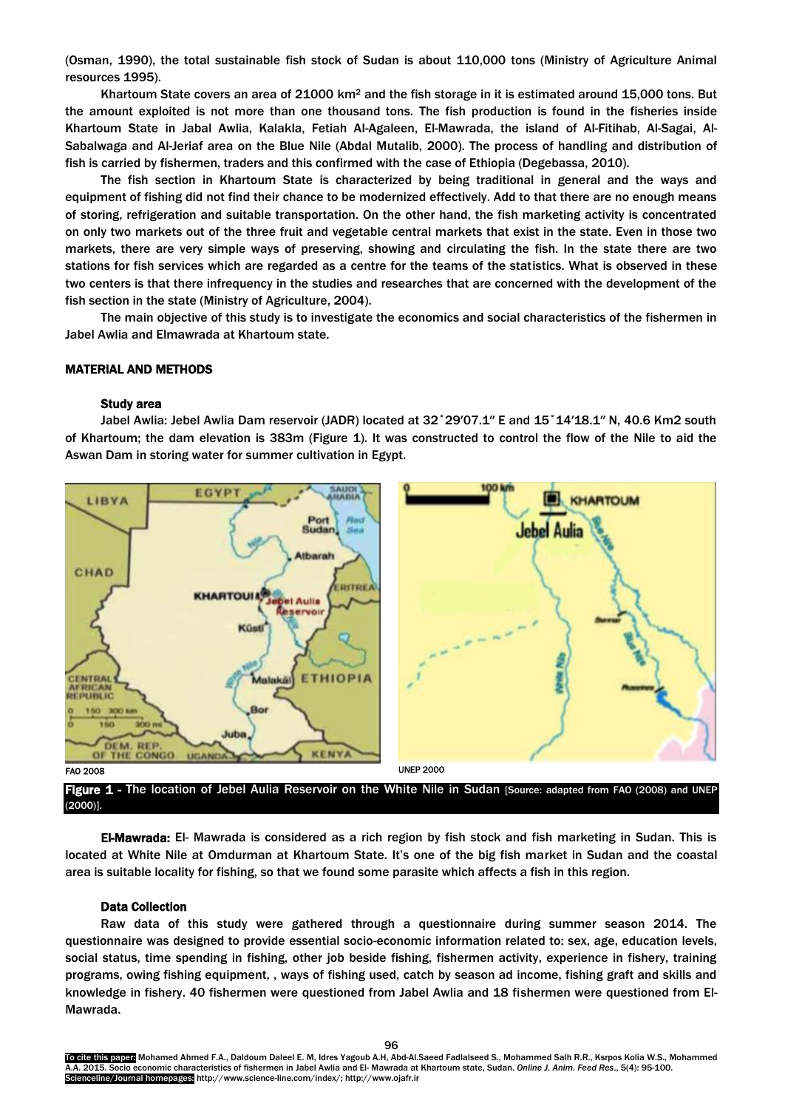(Osman, 1990), the total sustainable fish stock of Sudan is about 110,000 tons (Ministry of Agriculture Animal resources 1995).

Khartoum State covers an area of 21000 km<sup>2</sup> and the fish storage in it is estimated around 15,000 tons. But the amount exploited is not more than one thousand tons. The fish production is found in the fisheries inside Khartoum State in Jabal Awlia, Kalakla, Fetiah Al-Agaleen, El-Mawrada, the island of Al-Fitihab, Al-Sagai, Al-Sabalwaga and Al-Jeriaf area on the Blue Nile (Abdal Mutalib, 2000). The process of handling and distribution of fish is carried by fishermen, traders and this confirmed with the case of Ethiopia (Degebassa, 2010).

The fish section in Khartoum State is characterized by being traditional in general and the ways and equipment of fishing did not find their chance to be modernized effectively. Add to that there are no enough means of storing, refrigeration and suitable transportation. On the other hand, the fish marketing activity is concentrated on only two markets out of the three fruit and vegetable central markets that exist in the state. Even in those two markets, there are very simple ways of preserving, showing and circulating the fish. In the state there are two stations for fish services which are regarded as a centre for the teams of the statistics. What is observed in these two centers is that there infrequency in the studies and researches that are concerned with the development of the fish section in the state (Ministry of Agriculture, 2004).

The main objective of this study is to investigate the economics and social characteristics of the fishermen in Jabel Awlia and Elmawrada at Khartoum state.

#### MATERIAL AND METHODS

#### Study area

Jabel Awlia: Jebel Awlia Dam reservoir (JADR) located at 32˚29′07.1″ E and 15˚14′18.1″ N, 40.6 Km2 south of Khartoum; the dam elevation is 383m (Figure 1). It was constructed to control the flow of the Nile to aid the Aswan Dam in storing water for summer cultivation in Egypt.



Figure 1 - The location of Jebel Aulia Reservoir on the White Nile in Sudan [Source: adapted from FAO (2008) and UNEP (2000)].

El-Mawrada: El- Mawrada is considered as a rich region by fish stock and fish marketing in Sudan. This is located at White Nile at Omdurman at Khartoum State. It's one of the big fish market in Sudan and the coastal area is suitable locality for fishing, so that we found some parasite which affects a fish in this region.

#### Data Collection

Raw data of this study were gathered through a questionnaire during summer season 2014. The questionnaire was designed to provide essential socio-economic information related to: sex, age, education levels, social status, time spending in fishing, other job beside fishing, fishermen activity, experience in fishery, training programs, owing fishing equipment, , ways of fishing used, catch by season ad income, fishing graft and skills and knowledge in fishery. 40 fishermen were questioned from Jabel Awlia and 18 fishermen were questioned from El-Mawrada.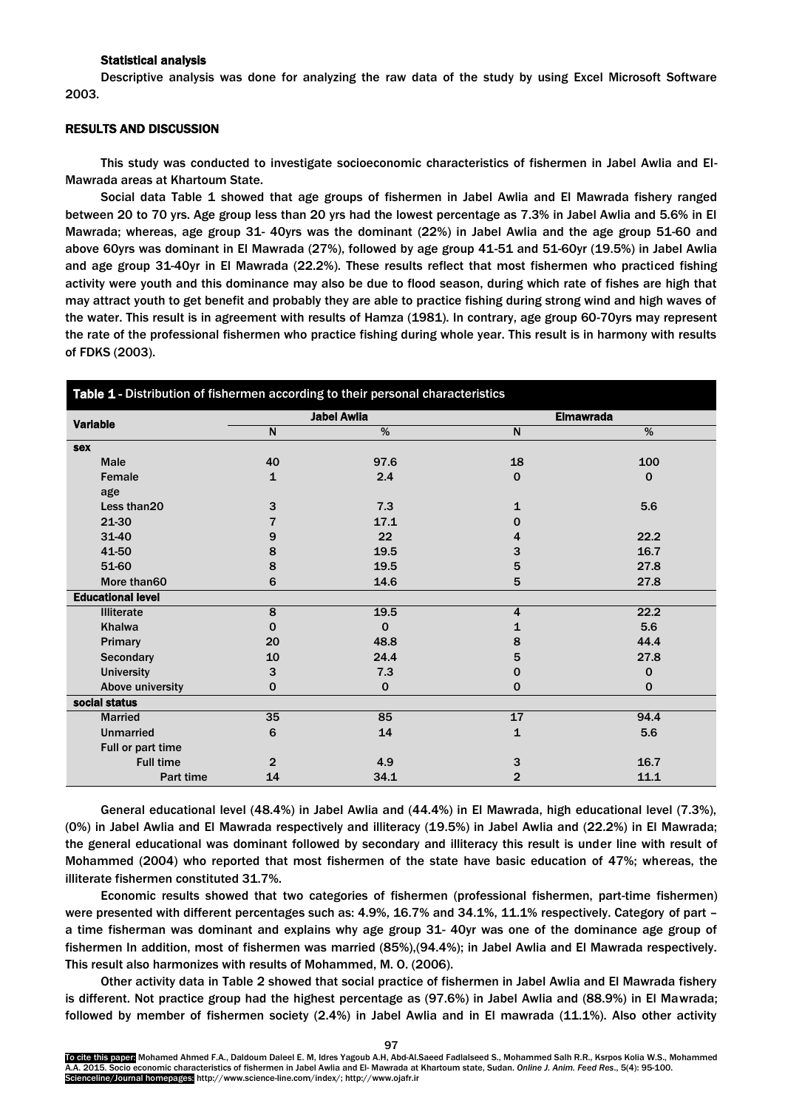#### Statistical analysis

Descriptive analysis was done for analyzing the raw data of the study by using Excel Microsoft Software 2003.

#### RESULTS AND DISCUSSION

This study was conducted to investigate socioeconomic characteristics of fishermen in Jabel Awlia and El-Mawrada areas at Khartoum State.

Social data Table 1 showed that age groups of fishermen in Jabel Awlia and El Mawrada fishery ranged between 20 to 70 yrs. Age group less than 20 yrs had the lowest percentage as 7.3% in Jabel Awlia and 5.6% in El Mawrada; whereas, age group 31- 40yrs was the dominant (22%) in Jabel Awlia and the age group 51-60 and above 60yrs was dominant in El Mawrada (27%), followed by age group 41-51 and 51-60yr (19.5%) in Jabel Awlia and age group 31-40yr in El Mawrada (22.2%). These results reflect that most fishermen who practiced fishing activity were youth and this dominance may also be due to flood season, during which rate of fishes are high that may attract youth to get benefit and probably they are able to practice fishing during strong wind and high waves of the water. This result is in agreement with results of Hamza (1981). In contrary, age group 60-70yrs may represent the rate of the professional fishermen who practice fishing during whole year. This result is in harmony with results of FDKS (2003).

| Table 1 - Distribution of fishermen according to their personal characteristics |                |                    |                  |              |  |  |
|---------------------------------------------------------------------------------|----------------|--------------------|------------------|--------------|--|--|
| <b>Variable</b>                                                                 |                | <b>Jabel Awlia</b> | <b>Elmawrada</b> |              |  |  |
|                                                                                 | N              | %                  | N                | %            |  |  |
| <b>sex</b>                                                                      |                |                    |                  |              |  |  |
| <b>Male</b>                                                                     | 40             | 97.6               | 18               | 100          |  |  |
| Female                                                                          | 1              | 2.4                | $\Omega$         | $\mathbf{0}$ |  |  |
| age                                                                             |                |                    |                  |              |  |  |
| Less than 20                                                                    | 3              | 7.3                | 1                | 5.6          |  |  |
| 21-30                                                                           | 7              | 17.1               | 0                |              |  |  |
| 31-40                                                                           | 9              | 22                 | 4                | 22.2         |  |  |
| 41-50                                                                           | 8              | 19.5               | 3                | 16.7         |  |  |
| 51-60                                                                           | 8              | 19.5               | 5                | 27.8         |  |  |
| More than60                                                                     | 6              | 14.6               | 5                | 27.8         |  |  |
| <b>Educational level</b>                                                        |                |                    |                  |              |  |  |
| <b>Illiterate</b>                                                               | 8              | 19.5               | 4                | 22.2         |  |  |
| <b>Khalwa</b>                                                                   | $\Omega$       | $\mathbf 0$        | 1                | 5.6          |  |  |
| Primary                                                                         | 20             | 48.8               | 8                | 44.4         |  |  |
| Secondary                                                                       | 10             | 24.4               | 5                | 27.8         |  |  |
| <b>University</b>                                                               | 3              | 7.3                | 0                | 0            |  |  |
| Above university                                                                | $\Omega$       | $\mathbf 0$        | $\Omega$         | $\mathbf{0}$ |  |  |
| social status                                                                   |                |                    |                  |              |  |  |
| <b>Married</b>                                                                  | 35             | 85                 | 17               | 94.4         |  |  |
| <b>Unmarried</b>                                                                | 6              | 14                 | $\mathbf{1}$     | 5.6          |  |  |
| Full or part time                                                               |                |                    |                  |              |  |  |
| <b>Full time</b>                                                                | $\overline{2}$ | 4.9                | 3                | 16.7         |  |  |
| Part time                                                                       | 14             | 34.1               | $\overline{2}$   | 11.1         |  |  |

General educational level (48.4%) in Jabel Awlia and (44.4%) in El Mawrada, high educational level (7.3%), (0%) in Jabel Awlia and El Mawrada respectively and illiteracy (19.5%) in Jabel Awlia and (22.2%) in El Mawrada; the general educational was dominant followed by secondary and illiteracy this result is under line with result of Mohammed (2004) who reported that most fishermen of the state have basic education of 47%; whereas, the illiterate fishermen constituted 31.7%.

Economic results showed that two categories of fishermen (professional fishermen, part-time fishermen) were presented with different percentages such as: 4.9%, 16.7% and 34.1%, 11.1% respectively. Category of part a time fisherman was dominant and explains why age group 31- 40yr was one of the dominance age group of fishermen In addition, most of fishermen was married (85%),(94.4%); in Jabel Awlia and El Mawrada respectively. This result also harmonizes with results of Mohammed, M. O. (2006).

Other activity data in Table 2 showed that social practice of fishermen in Jabel Awlia and El Mawrada fishery is different. Not practice group had the highest percentage as (97.6%) in Jabel Awlia and (88.9%) in El Mawrada; followed by member of fishermen society (2.4%) in Jabel Awlia and in El mawrada (11.1%). Also other activity

To cite this paper: Mohamed Ahmed F.A., Daldoum Daleel E. M, Idres Yagoub A.H, Abd-Al.Saeed Fadlalseed S., Mohammed Salh R.R., Ksrpos Kolia W.S., Mohammed A.A. 2015. Socio economic characteristics of fishermen in Jabel Awlia and El- Mawrada at Khartoum state, Sudan. *Online J. Anim. Feed Res*., 5(4): 95-100. Scienceline/Journal homepages: http://www.science-line.com/index/; http://www.ojafr.ir

97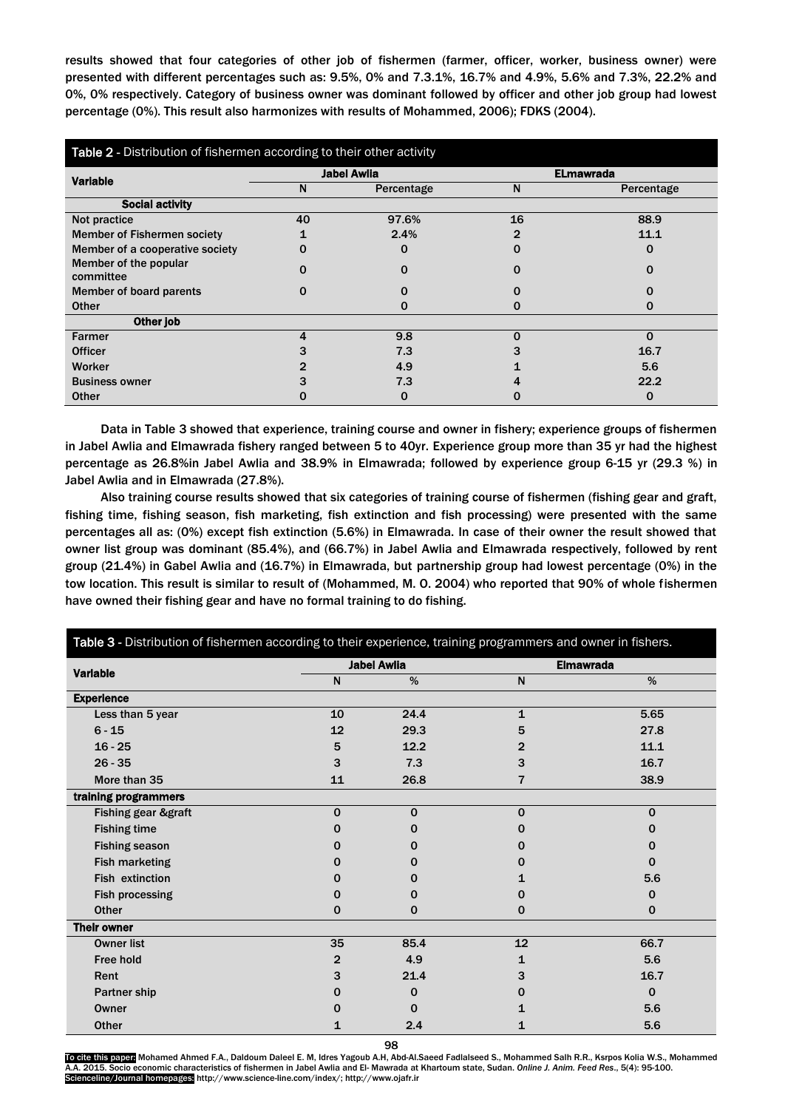results showed that four categories of other job of fishermen (farmer, officer, worker, business owner) were presented with different percentages such as: 9.5%, 0% and 7.3.1%, 16.7% and 4.9%, 5.6% and 7.3%, 22.2% and 0%, 0% respectively. Category of business owner was dominant followed by officer and other job group had lowest percentage (0%). This result also harmonizes with results of Mohammed, 2006); FDKS (2004).

| Table 2 - Distribution of fishermen according to their other activity |    |                    |                  |            |  |  |
|-----------------------------------------------------------------------|----|--------------------|------------------|------------|--|--|
| <b>Variable</b>                                                       |    | <b>Jabel Awlia</b> | <b>ELmawrada</b> |            |  |  |
|                                                                       | N  | N<br>Percentage    |                  | Percentage |  |  |
| <b>Social activity</b>                                                |    |                    |                  |            |  |  |
| Not practice                                                          | 40 | 97.6%              | 16               | 88.9       |  |  |
| <b>Member of Fishermen society</b>                                    |    | 2.4%               |                  | 11.1       |  |  |
| Member of a cooperative society                                       |    | O                  |                  |            |  |  |
| Member of the popular<br>committee                                    |    | O                  |                  |            |  |  |
| <b>Member of board parents</b>                                        |    |                    |                  |            |  |  |
| <b>Other</b>                                                          |    |                    |                  |            |  |  |
| Other job                                                             |    |                    |                  |            |  |  |
| Farmer                                                                |    | 9.8                |                  |            |  |  |
| <b>Officer</b>                                                        |    | 7.3                |                  | 16.7       |  |  |
| Worker                                                                |    | 4.9                |                  | 5.6        |  |  |
| <b>Business owner</b>                                                 |    | 7.3                |                  | 22.2       |  |  |
| <b>Other</b>                                                          |    | 0                  |                  | O          |  |  |

Data in Table 3 showed that experience, training course and owner in fishery; experience groups of fishermen in Jabel Awlia and Elmawrada fishery ranged between 5 to 40yr. Experience group more than 35 yr had the highest percentage as 26.8%in Jabel Awlia and 38.9% in Elmawrada; followed by experience group 6-15 yr (29.3 %) in Jabel Awlia and in Elmawrada (27.8%).

Also training course results showed that six categories of training course of fishermen (fishing gear and graft, fishing time, fishing season, fish marketing, fish extinction and fish processing) were presented with the same percentages all as: (0%) except fish extinction (5.6%) in Elmawrada. In case of their owner the result showed that owner list group was dominant (85.4%), and (66.7%) in Jabel Awlia and Elmawrada respectively, followed by rent group (21.4%) in Gabel Awlia and (16.7%) in Elmawrada, but partnership group had lowest percentage (0%) in the tow location. This result is similar to result of (Mohammed, M. O. 2004) who reported that 90% of whole fishermen have owned their fishing gear and have no formal training to do fishing.

| Table 3 - Distribution of fishermen according to their experience, training programmers and owner in fishers. |              |                    |              |                  |  |  |
|---------------------------------------------------------------------------------------------------------------|--------------|--------------------|--------------|------------------|--|--|
|                                                                                                               |              | <b>Jabel Awlia</b> |              | <b>Elmawrada</b> |  |  |
| <b>Variable</b>                                                                                               | N            | %                  | N            | %                |  |  |
| <b>Experience</b>                                                                                             |              |                    |              |                  |  |  |
| Less than 5 year                                                                                              | 10           | 24.4               | $\mathbf{1}$ | 5.65             |  |  |
| $6 - 15$                                                                                                      | 12           | 29.3               | 5            | 27.8             |  |  |
| $16 - 25$                                                                                                     | 5            | 12.2               | 2            | 11.1             |  |  |
| $26 - 35$                                                                                                     | 3            | 7.3                | 3            | 16.7             |  |  |
| More than 35                                                                                                  | 11           | 26.8               | 7            | 38.9             |  |  |
| training programmers                                                                                          |              |                    |              |                  |  |  |
| <b>Fishing gear &amp;graft</b>                                                                                | 0            | 0                  | $\mathbf 0$  | $\mathbf 0$      |  |  |
| <b>Fishing time</b>                                                                                           |              | O                  | 0            | 0                |  |  |
| <b>Fishing season</b>                                                                                         |              |                    | $\Omega$     | 0                |  |  |
| <b>Fish marketing</b>                                                                                         |              | O                  | 0            | $\Omega$         |  |  |
| Fish extinction                                                                                               |              |                    |              | 5.6              |  |  |
| <b>Fish processing</b>                                                                                        |              | O                  | 0            | 0                |  |  |
| <b>Other</b>                                                                                                  | 0            | 0                  | $\mathbf 0$  | $\mathbf{0}$     |  |  |
| <b>Their owner</b>                                                                                            |              |                    |              |                  |  |  |
| <b>Owner list</b>                                                                                             | 35           | 85.4               | 12           | 66.7             |  |  |
| <b>Free hold</b>                                                                                              | $\mathbf{2}$ | 4.9                | 1            | 5.6              |  |  |
| Rent                                                                                                          | 3            | 21.4               | 3            | 16.7             |  |  |
| Partner ship                                                                                                  | O            | $\mathbf{0}$       | 0            | $\mathbf{0}$     |  |  |
| Owner                                                                                                         |              | 0                  |              | 5.6              |  |  |
| <b>Other</b>                                                                                                  | 1            | 2.4                | 1            | 5.6              |  |  |

98

To cite this paper: Mohamed Ahmed F.A., Daldoum Daleel E. M, Idres Yagoub A.H, Abd-Al.Saeed Fadlalseed S., Mohammed Salh R.R., Ksrpos Kolia W.S., Mohammed A.A. 2015. Socio economic characteristics of fishermen in Jabel Awlia and El- Mawrada at Khartoum state, Sudan. *Online J. Anim. Feed Res*., 5(4): 95-100. Scienceline/Journal homepages: http://www.science-line.com/index/; http://www.ojafr.ir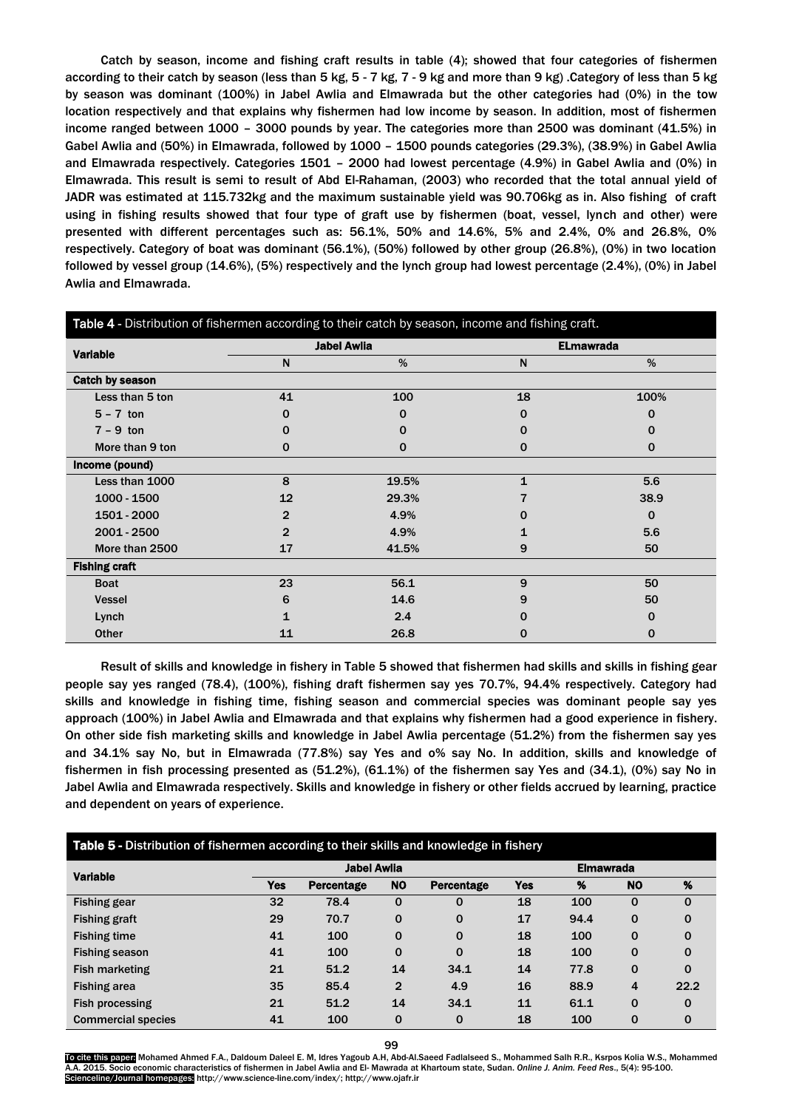Catch by season, income and fishing craft results in table (4); showed that four categories of fishermen according to their catch by season (less than 5 kg, 5 - 7 kg, 7 - 9 kg and more than 9 kg) .Category of less than 5 kg by season was dominant (100%) in Jabel Awlia and Elmawrada but the other categories had (0%) in the tow location respectively and that explains why fishermen had low income by season. In addition, most of fishermen income ranged between 1000 – 3000 pounds by year. The categories more than 2500 was dominant (41.5%) in Gabel Awlia and (50%) in Elmawrada, followed by 1000 – 1500 pounds categories (29.3%), (38.9%) in Gabel Awlia and Elmawrada respectively. Categories 1501 – 2000 had lowest percentage (4.9%) in Gabel Awlia and (0%) in Elmawrada. This result is semi to result of Abd El-Rahaman, (2003) who recorded that the total annual yield of JADR was estimated at 115.732kg and the maximum sustainable yield was 90.706kg as in. Also fishing of craft using in fishing results showed that four type of graft use by fishermen (boat, vessel, lynch and other) were presented with different percentages such as: 56.1%, 50% and 14.6%, 5% and 2.4%, 0% and 26.8%, 0% respectively. Category of boat was dominant (56.1%), (50%) followed by other group (26.8%), (0%) in two location followed by vessel group (14.6%), (5%) respectively and the lynch group had lowest percentage (2.4%), (0%) in Jabel Awlia and Elmawrada.

| Table 4 - Distribution of fishermen according to their catch by season, income and fishing craft. |    |                    |                  |          |  |
|---------------------------------------------------------------------------------------------------|----|--------------------|------------------|----------|--|
| <b>Variable</b>                                                                                   |    | <b>Jabel Awlia</b> | <b>ELmawrada</b> |          |  |
|                                                                                                   | N  | %                  | N                | %        |  |
| Catch by season                                                                                   |    |                    |                  |          |  |
| Less than 5 ton                                                                                   | 41 | 100                | 18               | 100%     |  |
| $5 - 7$ ton                                                                                       | 0  | 0                  | 0                | $\Omega$ |  |
| $7 - 9$ ton                                                                                       | 0  | 0                  | 0                | 0        |  |
| More than 9 ton                                                                                   | 0  | 0                  | $\bf{0}$         | 0        |  |
| Income (pound)                                                                                    |    |                    |                  |          |  |
| Less than 1000                                                                                    | 8  | 19.5%              | $\mathbf{1}$     | 5.6      |  |
| 1000 - 1500                                                                                       | 12 | 29.3%              |                  | 38.9     |  |
| 1501 - 2000                                                                                       | 2  | 4.9%               | 0                | 0        |  |
| 2001 - 2500                                                                                       | 2  | 4.9%               | 1                | 5.6      |  |
| More than 2500                                                                                    | 17 | 41.5%              | 9                | 50       |  |
| <b>Fishing craft</b>                                                                              |    |                    |                  |          |  |
| <b>Boat</b>                                                                                       | 23 | 56.1               | 9                | 50       |  |
| <b>Vessel</b>                                                                                     | 6  | 14.6               | 9                | 50       |  |
| Lynch                                                                                             |    | 2.4                | 0                | $\bf{0}$ |  |
| <b>Other</b>                                                                                      | 11 | 26.8               | 0                | 0        |  |

Result of skills and knowledge in fishery in Table 5 showed that fishermen had skills and skills in fishing gear people say yes ranged (78.4), (100%), fishing draft fishermen say yes 70.7%, 94.4% respectively. Category had skills and knowledge in fishing time, fishing season and commercial species was dominant people say yes approach (100%) in Jabel Awlia and Elmawrada and that explains why fishermen had a good experience in fishery. On other side fish marketing skills and knowledge in Jabel Awlia percentage (51.2%) from the fishermen say yes and 34.1% say No, but in Elmawrada (77.8%) say Yes and o% say No. In addition, skills and knowledge of fishermen in fish processing presented as (51.2%), (61.1%) of the fishermen say Yes and (34.1), (0%) say No in Jabel Awlia and Elmawrada respectively. Skills and knowledge in fishery or other fields accrued by learning, practice and dependent on years of experience.

| Table 5 - Distribution of fishermen according to their skills and knowledge in fishery |            |                    |                |                   |            |                  |             |              |  |
|----------------------------------------------------------------------------------------|------------|--------------------|----------------|-------------------|------------|------------------|-------------|--------------|--|
| <b>Variable</b>                                                                        |            | <b>Jabel Awlia</b> |                |                   |            | <b>Elmawrada</b> |             |              |  |
|                                                                                        | <b>Yes</b> | <b>Percentage</b>  | <b>NO</b>      | <b>Percentage</b> | <b>Yes</b> | %                | <b>NO</b>   | %            |  |
| <b>Fishing gear</b>                                                                    | 32         | 78.4               | $\Omega$       | $\Omega$          | 18         | 100              | $\mathbf 0$ | $\mathbf{0}$ |  |
| <b>Fishing graft</b>                                                                   | 29         | 70.7               | 0              | $\mathbf{0}$      | 17         | 94.4             | $\mathbf 0$ | $\mathbf 0$  |  |
| <b>Fishing time</b>                                                                    | 41         | 100                | $\mathbf 0$    | $\mathbf{0}$      | 18         | 100              | $\mathbf 0$ | 0            |  |
| <b>Fishing season</b>                                                                  | 41         | 100                | $\Omega$       | $\mathbf{0}$      | 18         | 100              | $\mathbf 0$ | 0            |  |
| <b>Fish marketing</b>                                                                  | 21         | 51.2               | 14             | 34.1              | 14         | 77.8             | $\mathbf 0$ | $\mathbf 0$  |  |
| <b>Fishing area</b>                                                                    | 35         | 85.4               | $\overline{2}$ | 4.9               | 16         | 88.9             | 4           | 22.2         |  |
| <b>Fish processing</b>                                                                 | 21         | 51.2               | 14             | 34.1              | 11         | 61.1             | $\mathbf 0$ | 0            |  |
| <b>Commercial species</b>                                                              | 41         | 100                | $\mathbf 0$    | $\mathbf 0$       | 18         | 100              | $\mathbf 0$ | 0            |  |

99

To cite this paper: Mohamed Ahmed F.A., Daldoum Daleel E. M, Idres Yagoub A.H, Abd-Al.Saeed Fadlalseed S., Mohammed Salh R.R., Ksrpos Kolia W.S., Mohammed A.A. 2015. Socio economic characteristics of fishermen in Jabel Awlia and El- Mawrada at Khartoum state, Sudan. *Online J. Anim. Feed Res*., 5(4): 95-100. Scienceline/Journal homepages: http://www.science-line.com/index/; http://www.ojafr.ir